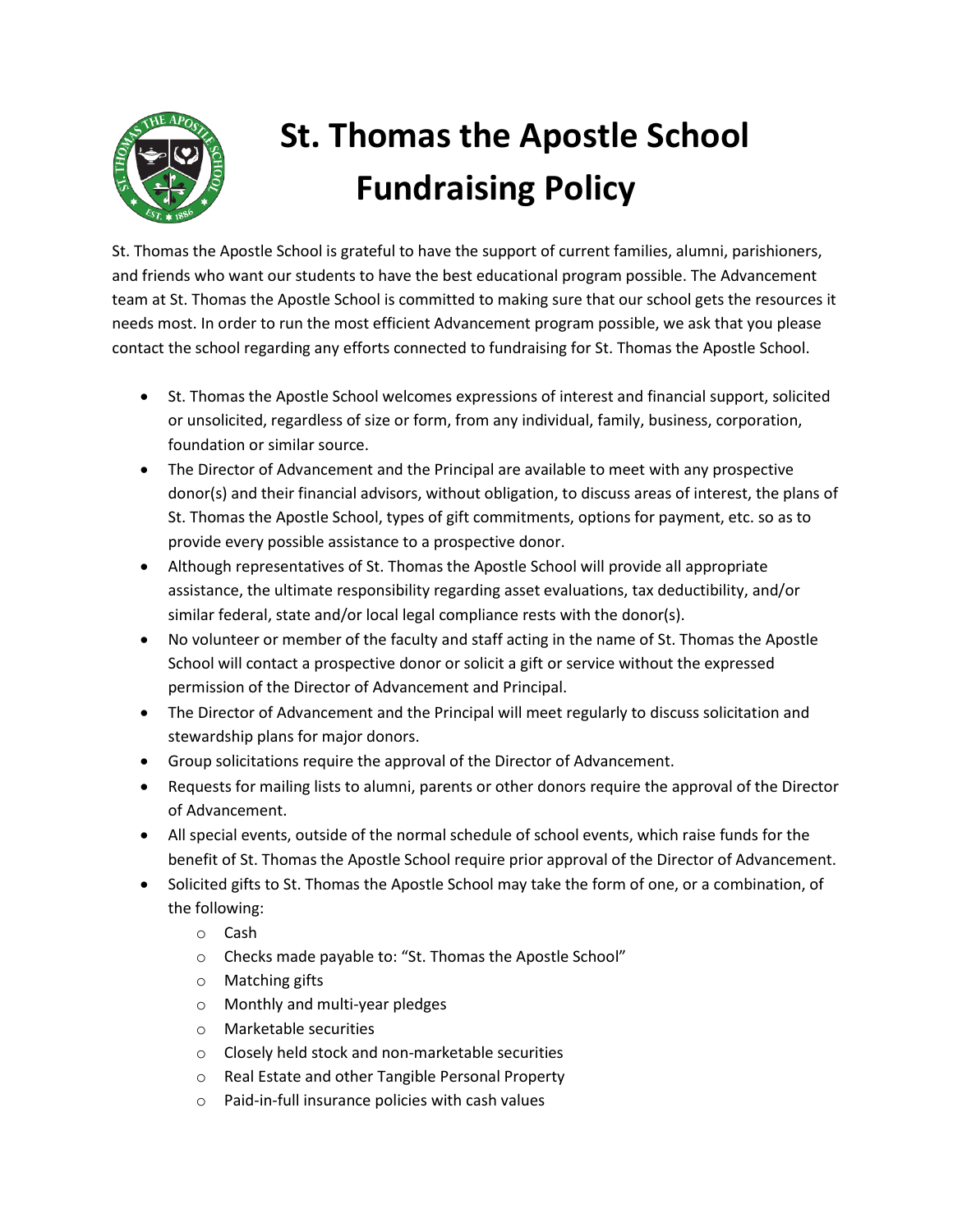

## **St. Thomas the Apostle School Fundraising Policy**

St. Thomas the Apostle School is grateful to have the support of current families, alumni, parishioners, and friends who want our students to have the best educational program possible. The Advancement team at St. Thomas the Apostle School is committed to making sure that our school gets the resources it needs most. In order to run the most efficient Advancement program possible, we ask that you please contact the school regarding any efforts connected to fundraising for St. Thomas the Apostle School.

- St. Thomas the Apostle School welcomes expressions of interest and financial support, solicited or unsolicited, regardless of size or form, from any individual, family, business, corporation, foundation or similar source.
- The Director of Advancement and the Principal are available to meet with any prospective donor(s) and their financial advisors, without obligation, to discuss areas of interest, the plans of St. Thomas the Apostle School, types of gift commitments, options for payment, etc. so as to provide every possible assistance to a prospective donor.
- Although representatives of St. Thomas the Apostle School will provide all appropriate assistance, the ultimate responsibility regarding asset evaluations, tax deductibility, and/or similar federal, state and/or local legal compliance rests with the donor(s).
- No volunteer or member of the faculty and staff acting in the name of St. Thomas the Apostle School will contact a prospective donor or solicit a gift or service without the expressed permission of the Director of Advancement and Principal.
- The Director of Advancement and the Principal will meet regularly to discuss solicitation and stewardship plans for major donors.
- Group solicitations require the approval of the Director of Advancement.
- Requests for mailing lists to alumni, parents or other donors require the approval of the Director of Advancement.
- All special events, outside of the normal schedule of school events, which raise funds for the benefit of St. Thomas the Apostle School require prior approval of the Director of Advancement.
- Solicited gifts to St. Thomas the Apostle School may take the form of one, or a combination, of the following:
	- o Cash
	- o Checks made payable to: "St. Thomas the Apostle School"
	- o Matching gifts
	- o Monthly and multi-year pledges
	- o Marketable securities
	- o Closely held stock and non-marketable securities
	- o Real Estate and other Tangible Personal Property
	- o Paid-in-full insurance policies with cash values